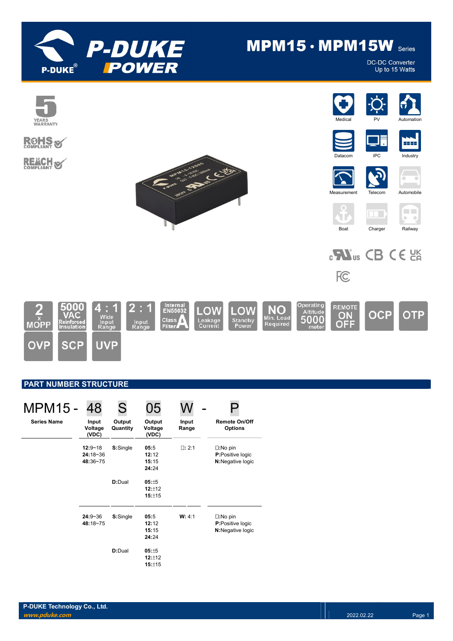

# $MPM15 \cdot MPM15W$  Series

**DC-DC Converter** Up to 15 Watts



## PART NUMBER STRUCTURE

| <b>MPM15 -</b>     | 48                                    | S                  | 05                              |                |                                                                   |
|--------------------|---------------------------------------|--------------------|---------------------------------|----------------|-------------------------------------------------------------------|
| <b>Series Name</b> | Input<br>Voltage<br>(VDC)             | Output<br>Quantity | Output<br>Voltage<br>(VDC)      | Input<br>Range | <b>Remote On/Off</b><br><b>Options</b>                            |
|                    | $12:9 - 18$<br>$24:18-36$<br>48:36~75 | S:Single           | 05:5<br>12:12<br>15:15<br>24:24 | $\Box: 2:1$    | $\square:$ No pin<br><b>P:</b> Positive logic<br>N:Negative logic |
|                    |                                       | D:Dual             | 05:±5<br>12:±12<br>15:±15       |                |                                                                   |
|                    | $24:9 - 36$<br>48:18~75               | S:Single           | 05:5<br>12:12<br>15:15<br>24:24 | W: 4:1         | $\square:$ No pin<br>P:Positive logic<br>N:Negative logic         |
|                    |                                       | D:Dual             | 05:±5<br>12:±12<br>15:±15       |                |                                                                   |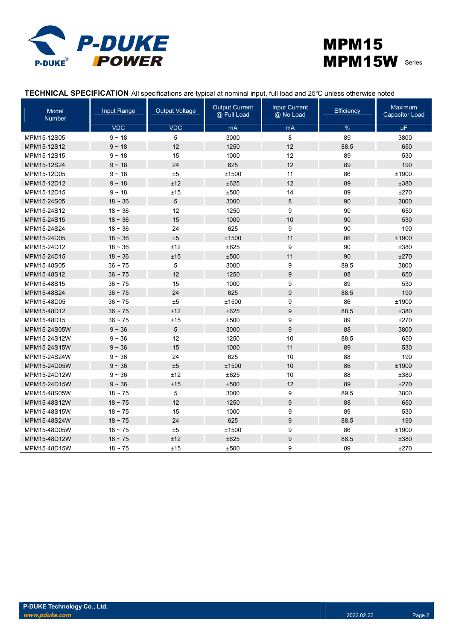

## MPM15 MPM15W Series

|  | TECHNICAL SPECIFICATION All specifications are typical at nominal input, full load and 25°C unless otherwise noted |
|--|--------------------------------------------------------------------------------------------------------------------|
|--|--------------------------------------------------------------------------------------------------------------------|

| Model<br><b>Number</b> | Input Range | <b>Output Voltage</b> | <b>Output Current</b><br>@ Full Load | <b>Input Current</b><br>@ No Load | Efficiency    | Maximum<br><b>Capacitor Load</b> |
|------------------------|-------------|-----------------------|--------------------------------------|-----------------------------------|---------------|----------------------------------|
|                        | <b>VDC</b>  | <b>VDC</b>            | mA                                   | mA                                | $\frac{9}{6}$ | μF.                              |
| MPM15-12S05            | $9 - 18$    | 5                     | 3000                                 | 8                                 | 89            | 3800                             |
| MPM15-12S12            | $9 - 18$    | 12                    | 1250                                 | 12                                | 88.5          | 650                              |
| MPM15-12S15            | $9 - 18$    | 15                    | 1000                                 | 12                                | 89            | 530                              |
| MPM15-12S24            | $9 - 18$    | 24                    | 625                                  | 12                                | 89            | 190                              |
| MPM15-12D05            | $9 - 18$    | ±5                    | ±1500                                | 11                                | 86            | ±1900                            |
| MPM15-12D12            | $9 - 18$    | ±12                   | ±625                                 | 12                                | 89            | ±380                             |
| MPM15-12D15            | $9 - 18$    | ±15                   | ±500                                 | 14                                | 89            | ±270                             |
| MPM15-24S05            | $18 - 36$   | 5                     | 3000                                 | 8                                 | 90            | 3800                             |
| MPM15-24S12            | $18 - 36$   | 12                    | 1250                                 | 9                                 | 90            | 650                              |
| MPM15-24S15            | $18 - 36$   | 15                    | 1000                                 | 10                                | 90            | 530                              |
| MPM15-24S24            | $18 - 36$   | 24                    | 625                                  | 9                                 | 90            | 190                              |
| MPM15-24D05            | $18 - 36$   | ±5                    | ±1500                                | 11                                | 86            | ±1900                            |
| MPM15-24D12            | $18 - 36$   | ±12                   | ±625                                 | 9                                 | 90            | ±380                             |
| MPM15-24D15            | $18 - 36$   | ±15                   | ±500                                 | 11                                | 90            | ±270                             |
| MPM15-48S05            | $36 - 75$   | 5                     | 3000                                 | 9                                 | 89.5          | 3800                             |
| MPM15-48S12            | $36 - 75$   | 12                    | 1250                                 | 9                                 | 88            | 650                              |
| MPM15-48S15            | $36 - 75$   | 15                    | 1000                                 | 9                                 | 89            | 530                              |
| MPM15-48S24            | $36 - 75$   | 24                    | 625                                  | $\boldsymbol{9}$                  | 88.5          | 190                              |
| MPM15-48D05            | $36 - 75$   | ±5                    | ±1500                                | 9                                 | 86            | ±1900                            |
| MPM15-48D12            | $36 - 75$   | ±12                   | ±625                                 | 9                                 | 88.5          | ±380                             |
| MPM15-48D15            | $36 - 75$   | ±15                   | ±500                                 | 9                                 | 89            | ±270                             |
| MPM15-24S05W           | $9 - 36$    | 5                     | 3000                                 | 9                                 | 88            | 3800                             |
| MPM15-24S12W           | $9 - 36$    | 12                    | 1250                                 | 10                                | 88.5          | 650                              |
| MPM15-24S15W           | $9 - 36$    | 15                    | 1000                                 | 11                                | 89            | 530                              |
| MPM15-24S24W           | $9 - 36$    | 24                    | 625                                  | 10                                | 88            | 190                              |
| MPM15-24D05W           | $9 - 36$    | ±5                    | ±1500                                | 10                                | 86            | ±1900                            |
| MPM15-24D12W           | $9 - 36$    | ±12                   | ±625                                 | 10                                | 88            | ±380                             |
| MPM15-24D15W           | $9 - 36$    | ±15                   | ±500                                 | 12                                | 89            | ±270                             |
| MPM15-48S05W           | $18 - 75$   | 5                     | 3000                                 | 9                                 | 89.5          | 3800                             |
| MPM15-48S12W           | $18 - 75$   | 12                    | 1250                                 | 9                                 | 88            | 650                              |
| MPM15-48S15W           | $18 - 75$   | 15                    | 1000                                 | 9                                 | 89            | 530                              |
| MPM15-48S24W           | $18 - 75$   | 24                    | 625                                  | 9                                 | 88.5          | 190                              |
| MPM15-48D05W           | $18 - 75$   | ±5                    | ±1500                                | 9                                 | 86            | ±1900                            |
| MPM15-48D12W           | $18 - 75$   | ±12                   | ±625                                 | 9                                 | 88.5          | ±380                             |
| MPM15-48D15W           | $18 - 75$   | ±15                   | ±500                                 | 9                                 | 89            | ±270                             |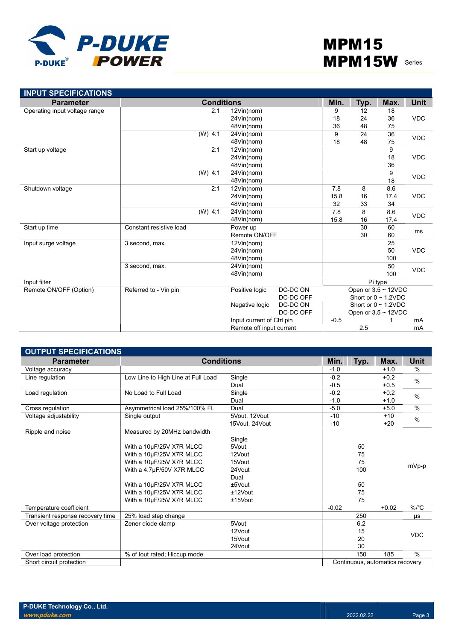

| <b>INPUT SPECIFICATIONS</b>   |                         |            |                           |           |        |            |                           |             |  |
|-------------------------------|-------------------------|------------|---------------------------|-----------|--------|------------|---------------------------|-------------|--|
| <b>Parameter</b>              |                         |            | <b>Conditions</b>         |           | Min.   | Typ.       | Max.                      | <b>Unit</b> |  |
| Operating input voltage range |                         | 2:1        | 12Vin(nom)                |           | 9      | 12         | 18                        |             |  |
|                               |                         |            | 24Vin(nom)                |           | 18     | 24         | 36                        | <b>VDC</b>  |  |
|                               |                         |            | 48Vin(nom)                |           | 36     | 48         | 75                        |             |  |
|                               | $(W)$ 4:1               |            | 24Vin(nom)                |           | 9      | 24         | 36                        | <b>VDC</b>  |  |
|                               |                         |            | 48Vin(nom)                |           | 18     | 48         | 75                        |             |  |
| Start up voltage              |                         | 2:1        | 12Vin(nom)                |           |        |            | 9                         |             |  |
|                               |                         |            | 24Vin(nom)                |           |        |            | 18                        | <b>VDC</b>  |  |
|                               |                         |            | 48Vin(nom)                |           |        |            | 36                        |             |  |
|                               | $(W)$ 4:1               |            | 24Vin(nom)                |           |        |            | 9                         | <b>VDC</b>  |  |
|                               |                         |            | 48Vin(nom)                |           |        |            | 18                        |             |  |
| Shutdown voltage              |                         | 2:1        | 12Vin(nom)                |           | 7.8    | 8          | 8.6                       |             |  |
|                               |                         | 24Vin(nom) | 15.8                      | 16        | 17.4   | <b>VDC</b> |                           |             |  |
|                               |                         |            | 48Vin(nom)                |           | 32     | 33         | 34                        |             |  |
|                               | $(W)$ 4:1               |            | 24Vin(nom)                |           | 7.8    | 8          | 8.6                       | <b>VDC</b>  |  |
|                               |                         |            | 48Vin(nom)                |           | 15.8   | 16         | 17.4                      |             |  |
| Start up time                 | Constant resistive load |            | Power up                  |           |        | 30         | 60                        |             |  |
|                               |                         |            | Remote ON/OFF             |           |        | 30         | 60                        | ms          |  |
| Input surge voltage           | 3 second, max.          |            | 12Vin(nom)                |           |        | 25         |                           |             |  |
|                               |                         |            | 24Vin(nom)                |           |        |            | 50                        | <b>VDC</b>  |  |
|                               |                         |            | 48Vin(nom)                |           |        |            | 100                       |             |  |
|                               | 3 second, max.          |            | 24Vin(nom)                |           |        | 50         | <b>VDC</b>                |             |  |
|                               |                         |            | 48Vin(nom)                |           |        |            | 100                       |             |  |
| Input filter                  |                         |            |                           |           |        |            | Pi type                   |             |  |
| Remote ON/OFF (Option)        | Referred to - Vin pin   |            | Positive logic            | DC-DC ON  |        |            | Open or $3.5 \sim 12$ VDC |             |  |
|                               |                         |            |                           | DC-DC OFF |        |            | Short or $0 \sim 1.2$ VDC |             |  |
|                               |                         |            | Negative logic            | DC-DC ON  |        |            | Short or $0 \sim 1.2$ VDC |             |  |
|                               |                         |            |                           | DC-DC OFF |        |            | Open or $3.5 \sim 12$ VDC |             |  |
|                               |                         |            | Input current of Ctrl pin |           | $-0.5$ |            |                           | mA          |  |
|                               |                         |            | Remote off input current  |           |        | 2.5        |                           | mA          |  |

| <b>OUTPUT SPECIFICATIONS</b>     |                                    |                |         |      |                                 |               |
|----------------------------------|------------------------------------|----------------|---------|------|---------------------------------|---------------|
| <b>Parameter</b>                 | <b>Conditions</b>                  |                | Min.    | Typ. | Max.                            | Unit          |
| Voltage accuracy                 |                                    |                | $-1.0$  |      | $+1.0$                          | %             |
| Line regulation                  | Low Line to High Line at Full Load | Single         | $-0.2$  |      | $+0.2$                          | $\frac{0}{0}$ |
|                                  |                                    | Dual           | $-0.5$  |      | $+0.5$                          |               |
| Load regulation                  | No Load to Full Load               | Single         | $-0.2$  |      | $+0.2$                          | $\%$          |
|                                  |                                    | Dual           | $-1.0$  |      | $+1.0$                          |               |
| Cross regulation                 | Asymmetrical load 25%/100% FL      | Dual           | $-5.0$  |      | $+5.0$                          | $\%$          |
| Voltage adjustability            | Single output                      | 5Vout, 12Vout  | $-10$   |      | $+10$                           | $\%$          |
|                                  |                                    | 15Vout, 24Vout | $-10$   |      | $+20$                           |               |
| Ripple and noise                 | Measured by 20MHz bandwidth        |                |         |      |                                 |               |
|                                  |                                    | Single         |         |      |                                 |               |
|                                  | With a 10µF/25V X7R MLCC           | 5Vout          |         | 50   |                                 |               |
|                                  | With a 10µF/25V X7R MLCC           | 12Vout         |         | 75   |                                 |               |
|                                  | With a 10µF/25V X7R MLCC           | 15Vout         |         | 75   |                                 | mVp-p         |
|                                  | With a 4.7µF/50V X7R MLCC          | 24Vout         |         | 100  |                                 |               |
|                                  |                                    | Dual           |         |      |                                 |               |
|                                  | With a 10µF/25V X7R MLCC           | ±5Vout         |         | 50   |                                 |               |
|                                  | With a 10µF/25V X7R MLCC           | $±12$ Vout     |         | 75   |                                 |               |
|                                  | With a 10µF/25V X7R MLCC           | $±15$ Vout     |         | 75   |                                 |               |
| Temperature coefficient          |                                    |                | $-0.02$ |      | $+0.02$                         | $%$ /°C       |
| Transient response recovery time | 25% load step change               |                |         | 250  |                                 | μs            |
| Over voltage protection          | Zener diode clamp                  | 5Vout          |         | 6.2  |                                 |               |
|                                  |                                    | 12Vout         |         | 15   |                                 | <b>VDC</b>    |
|                                  |                                    | 15Vout         |         | 20   |                                 |               |
|                                  |                                    | 24Vout         |         | 30   |                                 |               |
| Over load protection             | % of lout rated; Hiccup mode       |                |         | 150  | 185                             | $\%$          |
| Short circuit protection         |                                    |                |         |      | Continuous, automatics recovery |               |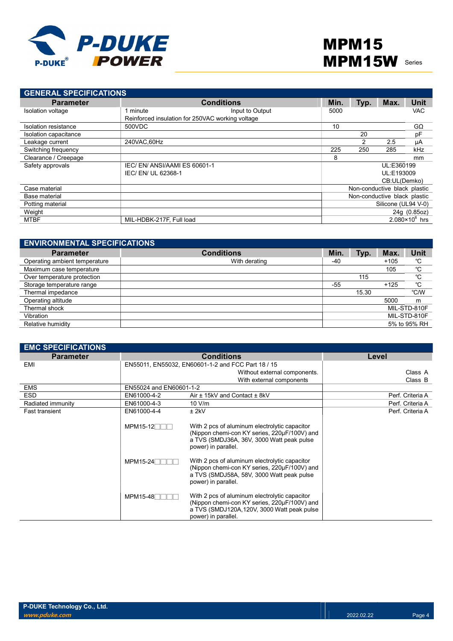

| <b>GENERAL SPECIFICATIONS</b> |                                                  |                   |      |      |                              |                         |
|-------------------------------|--------------------------------------------------|-------------------|------|------|------------------------------|-------------------------|
| <b>Parameter</b>              |                                                  | <b>Conditions</b> | Min. | Typ. | Max.                         | Unit                    |
| Isolation voltage             | minute                                           | Input to Output   | 5000 |      |                              | <b>VAC</b>              |
|                               | Reinforced insulation for 250VAC working voltage |                   |      |      |                              |                         |
| Isolation resistance          | 500VDC                                           |                   | 10   |      |                              | $G\Omega$               |
| Isolation capacitance         |                                                  |                   |      | 20   |                              | pF                      |
| Leakage current               | 240VAC.60Hz                                      |                   |      | 2    | 2.5                          | μA                      |
| Switching frequency           |                                                  |                   | 225  | 250  | 285                          | kHz                     |
| Clearance / Creepage          |                                                  |                   | 8    |      |                              | mm                      |
| Safety approvals              | IEC/EN/ANSI/AAMI ES 60601-1                      |                   |      |      | UL:E360199                   |                         |
|                               | IEC/ EN/ UL 62368-1                              |                   |      |      | UL:E193009                   |                         |
|                               |                                                  |                   |      |      | CB:UL(Demko)                 |                         |
| Case material                 |                                                  |                   |      |      | Non-conductive black plastic |                         |
| Base material                 |                                                  |                   |      |      | Non-conductive black plastic |                         |
| Potting material              |                                                  |                   |      |      | Silicone (UL94 V-0)          |                         |
| Weight                        |                                                  |                   |      |      |                              | 24g (0.85oz)            |
| <b>MTBF</b>                   | MIL-HDBK-217F, Full load                         |                   |      |      |                              | $2.080 \times 10^6$ hrs |

| <b>ENVIRONMENTAL SPECIFICATIONS</b> |                   |       |       |        |              |
|-------------------------------------|-------------------|-------|-------|--------|--------------|
| <b>Parameter</b>                    | <b>Conditions</b> | Min.  | Typ.  | Max.   | Unit         |
| Operating ambient temperature       | With derating     | -40   |       | $+105$ | °C           |
| Maximum case temperature            |                   |       |       | 105    | °C           |
| Over temperature protection         |                   |       | 115   |        | °C           |
| Storage temperature range           |                   | $-55$ |       | $+125$ | °C           |
| Thermal impedance                   |                   |       | 15.30 |        | °C/W         |
| Operating altitude                  |                   |       |       | 5000   | m            |
| Thermal shock                       |                   |       |       |        | MIL-STD-810F |
| Vibration                           |                   |       |       |        | MIL-STD-810F |
| Relative humidity                   |                   |       |       |        | 5% to 95% RH |

| <b>EMC SPECIFICATIONS</b> |                         |                                                                                                                                                                     |                  |
|---------------------------|-------------------------|---------------------------------------------------------------------------------------------------------------------------------------------------------------------|------------------|
| <b>Parameter</b>          |                         | <b>Conditions</b>                                                                                                                                                   | Level            |
| EMI                       |                         | EN55011, EN55032, EN60601-1-2 and FCC Part 18 / 15                                                                                                                  |                  |
|                           |                         | Without external components.                                                                                                                                        | Class A          |
|                           |                         | With external components                                                                                                                                            | Class B          |
| <b>EMS</b>                | EN55024 and EN60601-1-2 |                                                                                                                                                                     |                  |
| <b>ESD</b>                | EN61000-4-2             | Air ± 15kV and Contact ± 8kV                                                                                                                                        | Perf. Criteria A |
| Radiated immunity         | EN61000-4-3             | 10 V/m                                                                                                                                                              | Perf. Criteria A |
| <b>Fast transient</b>     | EN61000-4-4             | $±$ 2kV                                                                                                                                                             | Perf. Criteria A |
|                           | $MPM15-12$              | With 2 pcs of aluminum electrolytic capacitor<br>(Nippon chemi-con KY series, 220µF/100V) and<br>a TVS (SMDJ36A, 36V, 3000 Watt peak pulse<br>power) in parallel.   |                  |
|                           | $MPM15-24$              | With 2 pcs of aluminum electrolytic capacitor<br>(Nippon chemi-con KY series, 220µF/100V) and<br>a TVS (SMDJ58A, 58V, 3000 Watt peak pulse<br>power) in parallel.   |                  |
|                           | $MPM15-48$              | With 2 pcs of aluminum electrolytic capacitor<br>(Nippon chemi-con KY series, 220µF/100V) and<br>a TVS (SMDJ120A, 120V, 3000 Watt peak pulse<br>power) in parallel. |                  |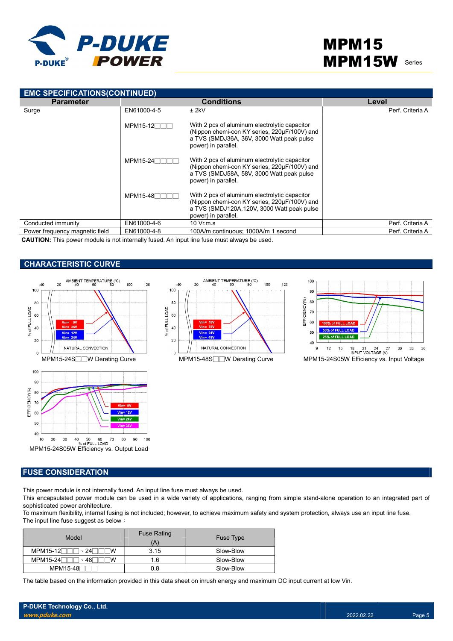

| <b>EMC SPECIFICATIONS(CONTINUED)</b> |                 |                                                                                                                                                                     |                  |  |  |  |  |  |  |  |
|--------------------------------------|-----------------|---------------------------------------------------------------------------------------------------------------------------------------------------------------------|------------------|--|--|--|--|--|--|--|
| <b>Parameter</b>                     |                 | <b>Conditions</b>                                                                                                                                                   | Level            |  |  |  |  |  |  |  |
| Surge                                | EN61000-4-5     | $±$ 2kV                                                                                                                                                             | Perf. Criteria A |  |  |  |  |  |  |  |
|                                      | $MPM15-12$      | With 2 pcs of aluminum electrolytic capacitor<br>(Nippon chemi-con KY series, 220µF/100V) and<br>a TVS (SMDJ36A, 36V, 3000 Watt peak pulse<br>power) in parallel.   |                  |  |  |  |  |  |  |  |
|                                      | $MPM15-24$      | With 2 pcs of aluminum electrolytic capacitor<br>(Nippon chemi-con KY series, 220µF/100V) and<br>a TVS (SMDJ58A, 58V, 3000 Watt peak pulse<br>power) in parallel.   |                  |  |  |  |  |  |  |  |
|                                      | <b>MPM15-48</b> | With 2 pcs of aluminum electrolytic capacitor<br>(Nippon chemi-con KY series, 220µF/100V) and<br>a TVS (SMDJ120A, 120V, 3000 Watt peak pulse<br>power) in parallel. |                  |  |  |  |  |  |  |  |
| Conducted immunity                   | EN61000-4-6     | $10 \,$ Vr.m.s                                                                                                                                                      | Perf. Criteria A |  |  |  |  |  |  |  |
| Power frequency magnetic field       | EN61000-4-8     | 100A/m continuous; 1000A/m 1 second                                                                                                                                 | Perf. Criteria A |  |  |  |  |  |  |  |

CAUTION: This power module is not internally fused. An input line fuse must always be used.

## CHARACTERISTIC CURVE









### FUSE CONSIDERATION

This power module is not internally fused. An input line fuse must always be used.

This encapsulated power module can be used in a wide variety of applications, ranging from simple stand-alone operation to an integrated part of sophisticated power architecture.

To maximum flexibility, internal fusing is not included; however, to achieve maximum safety and system protection, always use an input line fuse. The input line fuse suggest as below:

| Model                         | <b>Fuse Rating</b><br>'A) | Fuse Type |
|-------------------------------|---------------------------|-----------|
| $MPM15-12$<br>24              | 3.15                      | Slow-Blow |
| <b>MPM15-24</b><br>⋅ 48⊧<br>w | 1.6                       | Slow-Blow |
| MPM15-48                      | 0.8                       | Slow-Blow |

The table based on the information provided in this data sheet on inrush energy and maximum DC input current at low Vin.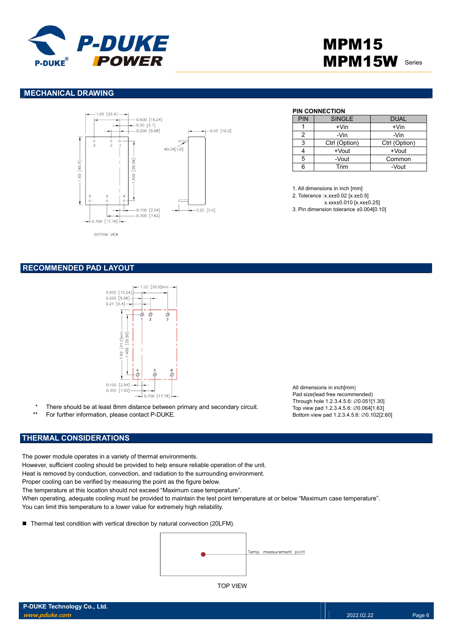

## MPM15 **MPM15W** Series

### MECHANICAL DRAWING



PIN CONNECTION

| <b>PIN</b> | <b>SINGLE</b> | <b>DUAL</b>   |
|------------|---------------|---------------|
|            | $+V$ in       | $+V$ in       |
|            | -Vin          | -Vin          |
| З          | Ctrl (Option) | Ctrl (Option) |
|            | $+$ Vout      | +Vout         |
| 5          | -Vout         | Common        |
| ี่ค        | Trim          | -Vout         |

1. All dimensions in inch [mm]

2. Tolerance :x.xx±0.02 [x.x±0.5]

x.xxx±0.010 [x.xx±0.25]

3. Pin dimension tolerance ±0.004[0.10]

### RECOMMENDED PAD LAYOUT



\* There should be at least 8mm distance between primary and secondary circuit.

For further information, please contact P-DUKE.

## THERMAL CONSIDERATIONS

The power module operates in a variety of thermal environments.

However, sufficient cooling should be provided to help ensure reliable operation of the unit.

Heat is removed by conduction, convection, and radiation to the surrounding environment.

Proper cooling can be verified by measuring the point as the figure below.

The temperature at this location should not exceed "Maximum case temperature".

When operating, adequate cooling must be provided to maintain the test point temperature at or below "Maximum case temperature". You can limit this temperature to a lower value for extremely high reliability.

■ Thermal test condition with vertical direction by natural convection (20LFM).



TOP VIEW

All dimensions in inch[mm] Pad size(lead free recommended) Through hole 1.2.3.4.5.6: ∅0.051[1.30] Top view pad 1.2.3.4.5.6: ∅0.064[1.63] Bottom view pad 1.2.3.4.5.6: ∅0.102[2.60]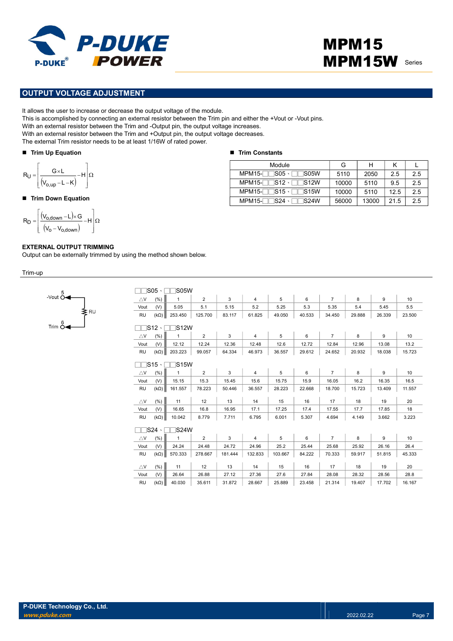

## MPM15 **MPM15W** Series

### OUTPUT VOLTAGE ADJUSTMENT

It allows the user to increase or decrease the output voltage of the module.

This is accomplished by connecting an external resistor between the Trim pin and either the +Vout or -Vout pins.

With an external resistor between the Trim and -Output pin, the output voltage increases.

With an external resistor between the Trim and +Output pin, the output voltage decreases.

The external Trim resistor needs to be at least 1/16W of rated power.

### Trim Up Equation

$$
R_U = \left[\frac{G \times L}{\left(V_{o,up} - L - K\right)} - H\right] \Omega
$$

#### ■ Trim Down Equation

$$
R_D = \left[ \frac{(V_{o,\text{down}} - L) \times G}{(V_o - V_{o,\text{down}})} - H \right] \Omega
$$

-Vout  $\stackrel{5}{\circ}$ 

 $Trim \stackrel{\circ}{\delta}$ 

### EXTERNAL OUTPUT TRIMMING

Output can be externally trimmed by using the method shown below.

Trim-up

| <b>IS05W</b>                           |                         |              |                |         |                |         |        |                |        |        |                 |  |
|----------------------------------------|-------------------------|--------------|----------------|---------|----------------|---------|--------|----------------|--------|--------|-----------------|--|
| $\bigtriangleup\mathsf{V}$             | (%)                     | $\mathbf{1}$ | 2              | 3       | $\overline{4}$ | 5       | 6      | $\overline{7}$ | 8      | 9      | 10              |  |
| Vout                                   | (V)                     | 5.05         | 5.1            | 5.15    | 5.2            | 5.25    | 5.3    | 5.35           | 5.4    | 5.45   | 5.5             |  |
| <b>RU</b>                              | $(k\Omega)$             | 253.450      | 125.700        | 83.117  | 61.825         | 49.050  | 40.533 | 34.450         | 29.888 | 26.339 | 23.500          |  |
| $\neg$ S12 $\cdot$<br><b>IS12W</b>     |                         |              |                |         |                |         |        |                |        |        |                 |  |
| $\triangle$ V                          | (% )                    | $\mathbf{1}$ | $\overline{2}$ | 3       | $\overline{4}$ | 5       | 6      | $\overline{7}$ | 8      | 9      | 10              |  |
| Vout                                   | (V)                     | 12.12        | 12.24          | 12.36   | 12.48          | 12.6    | 12.72  | 12.84          | 12.96  | 13.08  | 13.2            |  |
| <b>RU</b>                              | $(k\Omega)$             | 203.223      | 99.057         | 64.334  | 46.973         | 36.557  | 29.612 | 24.652         | 20.932 | 18.038 | 15.723          |  |
|                                        |                         |              |                |         |                |         |        |                |        |        |                 |  |
| $\sqsupset$ S15 $\cdot$<br><b>S15W</b> |                         |              |                |         |                |         |        |                |        |        |                 |  |
| $\bigtriangleup\mathsf{V}$             | (%)                     | $\mathbf{1}$ | $\overline{2}$ | 3       | $\overline{4}$ | 5       | 6      | $\overline{7}$ | 8      | 9      | 10 <sup>1</sup> |  |
| Vout                                   | (V)                     | 15.15        | 15.3           | 15.45   | 15.6           | 15.75   | 15.9   | 16.05          | 16.2   | 16.35  | 16.5            |  |
| <b>RU</b>                              | $(k\Omega)$             | 161.557      | 78.223         | 50.446  | 36.557         | 28.223  | 22.668 | 18.700         | 15.723 | 13.409 | 11.557          |  |
|                                        |                         |              |                |         |                |         |        |                |        |        |                 |  |
| $\triangle$ V                          | (%)                     | 11           | 12             | 13      | 14             | 15      | 16     | 17             | 18     | 19     | 20              |  |
| Vout                                   | (V)                     | 16.65        | 16.8           | 16.95   | 17.1           | 17.25   | 17.4   | 17.55          | 17.7   | 17.85  | 18              |  |
| <b>RU</b>                              | $(k\Omega)$             | 10.042       | 8.779          | 7.711   | 6.795          | 6.001   | 5.307  | 4.694          | 4.149  | 3.662  | 3.223           |  |
|                                        | $\sqsupset$ S24 $\cdot$ | <b>IS24W</b> |                |         |                |         |        |                |        |        |                 |  |
| $\triangle$ V                          | (% )                    | 1            | $\overline{2}$ | 3       | $\overline{4}$ | 5       | 6      | $\overline{7}$ | 8      | 9      | 10 <sup>1</sup> |  |
| Vout                                   | (V)                     | 24.24        | 24.48          | 24.72   | 24.96          | 25.2    | 25.44  | 25.68          | 25.92  | 26.16  | 26.4            |  |
| <b>RU</b>                              | $(k\Omega)$             | 570.333      | 278.667        | 181.444 | 132.833        | 103.667 | 84.222 | 70.333         | 59.917 | 51.815 | 45.333          |  |
| $\triangle$ V                          | (%)                     | 11           | 12             | 13      | 14             | 15      | 16     | 17             | 18     | 19     | 20              |  |
| Vout                                   | (V)                     | 26.64        | 26.88          | 27.12   | 27.36          | 27.6    | 27.84  | 28.08          | 28.32  | 28.56  | 28.8            |  |
| <b>RU</b>                              | $(k\Omega)$             | 40.030       | 35.611         | 31.872  | 28.667         | 25.889  | 23.458 | 21.314         | 19.407 | 17.702 | 16.167          |  |
|                                        |                         |              |                |         |                |         |        |                |        |        |                 |  |

#### ■ Trim Constants

| Module                                                           | G     | н     |      |     |
|------------------------------------------------------------------|-------|-------|------|-----|
| $MPM15-$ S05 $\cdot$ TS05W                                       | 5110  | 2050  | 2.5  | 2.5 |
| $MPM15-TTS12 \cdot TTS12W$                                       | 10000 | 5110  | 9.5  | 2.5 |
| $MPM15-TS15 \cdot TTS15W$                                        | 10000 | 5110  | 12.5 | 2.5 |
| $MPM15-\n\overline{\qquad}$ S24 $\cdot$ $\overline{\qquad}$ S24W | 56000 | 13000 | 21.5 | 2.5 |